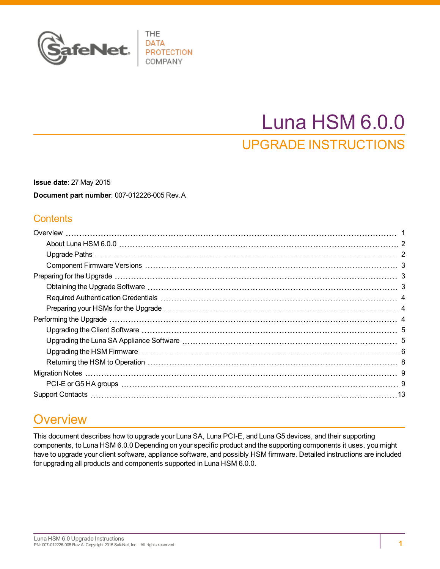

# Luna HSM 6.0.0 UPGRADE INSTRUCTIONS

**Issue date**: 27 May 2015 **Document part number**: 007-012226-005 Rev.A

### **Contents**

## <span id="page-0-0"></span>**Overview**

This document describes how to upgrade your Luna SA, Luna PCI-E, and Luna G5 devices, and their supporting components, to Luna HSM 6.0.0 Depending on your specific product and the supporting components it uses, you might have to upgrade your client software, appliance software, and possibly HSM firmware. Detailed instructions are included for upgrading all products and components supported in Luna HSM 6.0.0.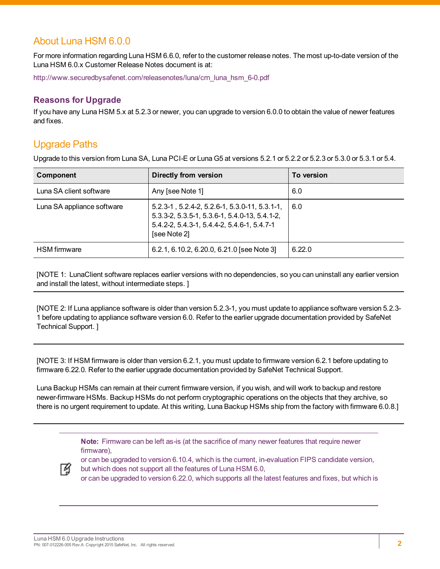### <span id="page-1-0"></span>About Luna HSM 6.0.0

For more information regarding Luna HSM 6.6.0, refer to the customer release notes. The most up-to-date version of the Luna HSM 6.0.x Customer Release Notes document is at:

[http://www.securedbysafenet.com/releasenotes/luna/crn\\_luna\\_hsm\\_6-0.pdf](http://www.securedbysafenet.com/releasenotes/luna/crn_luna_hsm_6-0.pdf)

#### **Reasons for Upgrade**

If you have any Luna HSM 5.x at 5.2.3 or newer, you can upgrade to version 6.0.0 to obtain the value of newer features and fixes.

### <span id="page-1-1"></span>Upgrade Paths

Upgrade to this version from Luna SA, Luna PCI-E or Luna G5 at versions 5.2.1 or 5.2.2 or 5.2.3 or 5.3.0 or 5.3.1 or 5.4.

| Component                  | <b>Directly from version</b>                                                                                                                                                           | To version |
|----------------------------|----------------------------------------------------------------------------------------------------------------------------------------------------------------------------------------|------------|
| Luna SA client software    | Any [see Note 1]                                                                                                                                                                       | 6.0        |
| Luna SA appliance software | $5.2.3 - 1$ , $5.2.4 - 2$ , $5.2.6 - 1$ , $5.3.0 - 11$ , $5.3.1 - 1$ ,<br>5.3.3-2, 5.3.5-1, 5.3.6-1, 5.4.0-13, 5.4.1-2,<br>5.4.2-2, 5.4.3-1, 5.4.4-2, 5.4.6-1, 5.4.7-1<br>[see Note 2] | 6.0        |
| <b>HSM</b> firmware        | 6.2.1, 6.10.2, 6.20.0, 6.21.0 [see Note 3]                                                                                                                                             | 6.22.0     |

[NOTE 1: LunaClient software replaces earlier versions with no dependencies, so you can uninstall any earlier version and install the latest, without intermediate steps. ]

[NOTE 2: If Luna appliance software is older than version 5.2.3-1, you must update to appliance software version 5.2.3- 1 before updating to appliance software version 6.0. Refer to the earlier upgrade documentation provided by SafeNet Technical Support. ]

[NOTE 3: If HSM firmware is older than version 6.2.1, you must update to firmware version 6.2.1 before updating to firmware 6.22.0. Refer to the earlier upgrade documentation provided by SafeNet Technical Support.

Luna Backup HSMs can remain at their current firmware version, if you wish, and will work to backup and restore newer-firmware HSMs. Backup HSMs do not perform cryptographic operations on the objects that they archive, so there is no urgent requirement to update. At this writing, Luna Backup HSMs ship from the factory with firmware 6.0.8.]

> **Note:** Firmware can be left as-is (at the sacrifice of many newer features that require newer firmware),



or can be upgraded to version 6.10.4, which is the current, in-evaluation FIPS candidate version,

but which does not support all the features of Luna HSM 6.0,

or can be upgraded to version 6.22.0, which supports all the latest features and fixes, but which is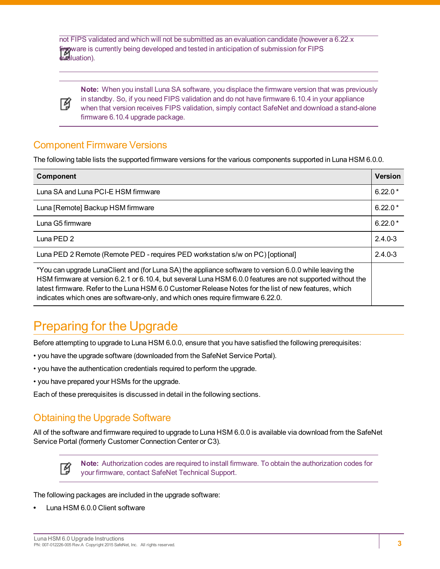not FIPS validated and which will not be submitted as an evaluation candidate (however a 6.22.x firpyware is currently being developed and tested in anticipation of submission for FIPS evaluation).



**Note:** When you install Luna SA software, you displace the firmware version that was previously in standby. So, if you need FIPS validation and do not have firmware 6.10.4 in your appliance when that version receives FIPS validation, simply contact SafeNet and download a stand-alone firmware 6.10.4 upgrade package.

### <span id="page-2-0"></span>Component Firmware Versions

The following table lists the supported firmware versions for the various components supported in Luna HSM 6.0.0.

| <b>Component</b>                                                                                                                                                                                                                                                                                                                                                                                                  | <b>Version</b> |
|-------------------------------------------------------------------------------------------------------------------------------------------------------------------------------------------------------------------------------------------------------------------------------------------------------------------------------------------------------------------------------------------------------------------|----------------|
| Luna SA and Luna PCI-E HSM firmware                                                                                                                                                                                                                                                                                                                                                                               | $6.22.0*$      |
| Luna [Remote] Backup HSM firmware                                                                                                                                                                                                                                                                                                                                                                                 | $6.22.0*$      |
| Luna G5 firmware                                                                                                                                                                                                                                                                                                                                                                                                  | $6.22.0*$      |
| Luna PED 2                                                                                                                                                                                                                                                                                                                                                                                                        | $2.4.0 - 3$    |
| Luna PED 2 Remote (Remote PED - requires PED workstation s/w on PC) [optional]                                                                                                                                                                                                                                                                                                                                    | $2.4.0 - 3$    |
| *You can upgrade LunaClient and (for Luna SA) the appliance software to version 6.0.0 while leaving the<br>HSM firmware at version 6.2.1 or 6.10.4, but several Luna HSM 6.0.0 features are not supported without the<br>latest firmware. Refer to the Luna HSM 6.0 Customer Release Notes for the list of new features, which<br>indicates which ones are software-only, and which ones require firmware 6.22.0. |                |

## <span id="page-2-1"></span>Preparing for the Upgrade

Before attempting to upgrade to Luna HSM 6.0.0, ensure that you have satisfied the following prerequisites:

- you have the upgrade software (downloaded from the SafeNet Service Portal).
- you have the authentication credentials required to perform the upgrade.
- you have prepared your HSMs for the upgrade.

<span id="page-2-2"></span>Each of these prerequisites is discussed in detail in the following sections.

### Obtaining the Upgrade Software

All of the software and firmware required to upgrade to Luna HSM 6.0.0 is available via download from the SafeNet Service Portal (formerly Customer Connection Center or C3).



**Note:** Authorization codes are required to install firmware. To obtain the authorization codes for your firmware, contact SafeNet Technical Support.

The following packages are included in the upgrade software:

**•** Luna HSM 6.0.0 Client software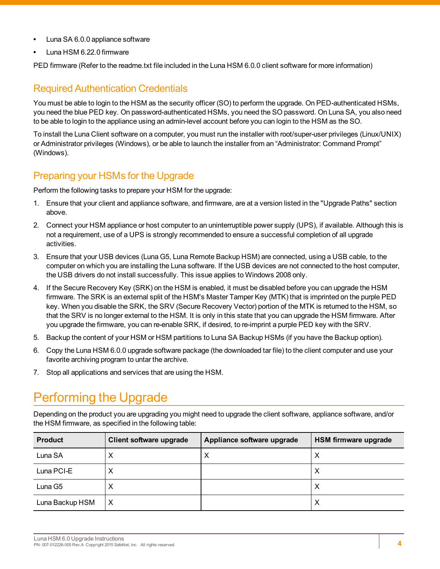- **•** Luna SA 6.0.0 appliance software
- **•** Luna HSM 6.22.0 firmware

<span id="page-3-0"></span>PED firmware (Refer to the readme.txt file included in the Luna HSM 6.0.0 client software for more information)

### Required Authentication Credentials

You must be able to login to the HSM as the security officer (SO) to perform the upgrade. On PED-authenticated HSMs, you need the blue PED key. On password-authenticated HSMs, you need the SO password. On Luna SA, you also need to be able to login to the appliance using an admin-level account before you can login to the HSM as the SO.

To install the Luna Client software on a computer, you must run the installer with root/super-user privileges (Linux/UNIX) or Administrator privileges (Windows), or be able to launch the installer from an "Administrator: Command Prompt" (Windows).

### <span id="page-3-1"></span>Preparing your HSMs for the Upgrade

Perform the following tasks to prepare your HSM for the upgrade:

- 1. Ensure that your client and appliance software, and firmware, are at a version listed in the "Upgrade Paths" section above.
- 2. Connect your HSM appliance or host computer to an uninterruptible power supply (UPS), if available. Although this is not a requirement, use of a UPS is strongly recommended to ensure a successful completion of all upgrade activities.
- 3. Ensure that your USB devices (Luna G5, Luna Remote Backup HSM) are connected, using a USB cable, to the computer on which you are installing the Luna software. If the USB devices are not connected to the host computer, the USB drivers do not install successfully. This issue applies to Windows 2008 only.
- 4. If the Secure Recovery Key (SRK) on the HSM is enabled, it must be disabled before you can upgrade the HSM firmware. The SRK is an external split of the HSM's Master Tamper Key (MTK) that is imprinted on the purple PED key. When you disable the SRK, the SRV (Secure Recovery Vector) portion of the MTK is returned to the HSM, so that the SRV is no longer external to the HSM. It is only in this state that you can upgrade the HSM firmware. After you upgrade the firmware, you can re-enable SRK, if desired, to re-imprint a purple PED key with the SRV.
- 5. Backup the content of your HSM or HSM partitions to Luna SA Backup HSMs (if you have the Backup option).
- 6. Copy the Luna HSM 6.0.0 upgrade software package (the downloaded tar file) to the client computer and use your favorite archiving program to untar the archive.
- <span id="page-3-2"></span>7. Stop all applications and services that are using the HSM.

## Performing the Upgrade

Depending on the product you are upgrading you might need to upgrade the client software, appliance software, and/or the HSM firmware, as specified in the following table:

| <b>Product</b>  | Client software upgrade | Appliance software upgrade | <b>HSM firmware upgrade</b> |
|-----------------|-------------------------|----------------------------|-----------------------------|
| Luna SA         | ⌒                       | Χ                          | ⌒                           |
| Luna PCI-E      | ↗                       |                            | ⋏                           |
| Luna G5         | ↗                       |                            | ⌒                           |
| Luna Backup HSM | X                       |                            | ⋏                           |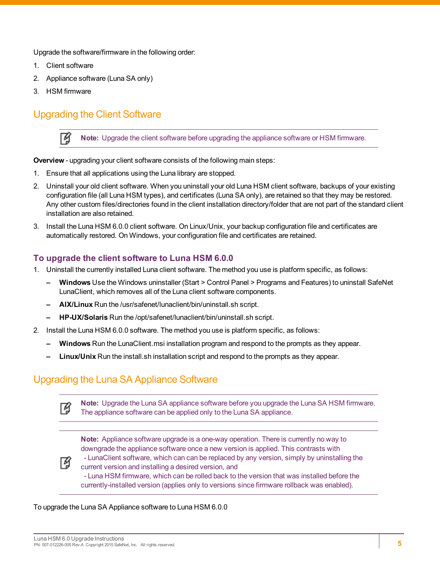Upgrade the software/firmware in the following order:

- 1. Client software
- 2. Appliance software (Luna SA only)
- <span id="page-4-0"></span>3. HSM firmware

囜

### Upgrading the Client Software

**Note:** Upgrade the client software before upgrading the appliance software or HSM firmware.

**Overview** - upgrading your client software consists of the following main steps:

- 1. Ensure that all applications using the Luna library are stopped.
- 2. Uninstall your old client software. When you uninstall your old Luna HSM client software, backups of your existing configuration file (all Luna HSM types), and certificates (Luna SA only), are retained so that they may be restored. Any other custom files/directories found in the client installation directory/folder that are not part of the standard client installation are also retained.
- 3. Install the Luna HSM 6.0.0 client software. On Linux/Unix, your backup configuration file and certificates are automatically restored. On Windows, your configuration file and certificates are retained.

#### **To upgrade the client software to Luna HSM 6.0.0**

- 1. Uninstall the currently installed Luna client software. The method you use is platform specific, as follows:
	- **– Windows** Use the Windows uninstaller (Start > Control Panel > Programs and Features) to uninstall SafeNet LunaClient, which removes all of the Luna client software components.
	- **– AIX/Linux** Run the /usr/safenet/lunaclient/bin/uninstall.sh script.
	- **– HP-UX/Solaris** Run the /opt/safenet/lunaclient/bin/uninstall.sh script.
- 2. Install the Luna HSM 6.0.0 software. The method you use is platform specific, as follows:
	- **– Windows** Run the LunaClient.msi installation program and respond to the prompts as they appear.
	- **– Linux/Unix** Run the install.sh installation script and respond to the prompts as they appear.

### <span id="page-4-1"></span>Upgrading the Luna SA Appliance Software

**Note:** Upgrade the Luna SA appliance software before you upgrade the Luna SA HSM firmware. 了 The appliance software can be applied only to the Luna SA appliance.

**Note:** Appliance software upgrade is a one-way operation. There is currently no way to downgrade the appliance software once a new version is applied. This contrasts with

放

- LunaClient software, which can can be replaced by any version, simply by uninstalling the current version and installing a desired version, and - Luna HSM firmware, which can be rolled back to the version that was installed before the currently-installed version (applies only to versions since firmware rollback was enabled).

To upgrade the Luna SA Appliance software to Luna HSM 6.0.0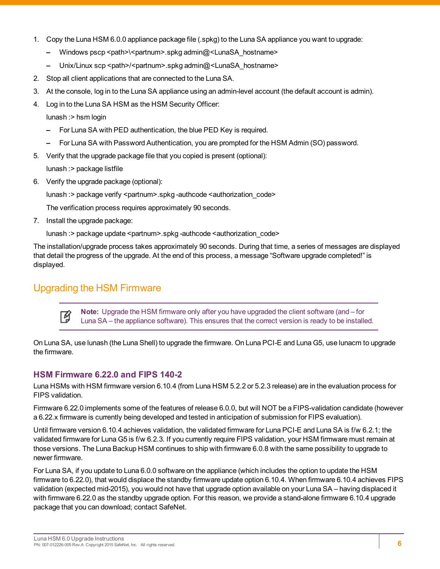- 1. Copy the Luna HSM 6.0.0 appliance package file (.spkg) to the Luna SA appliance you want to upgrade:
	- **–** Windows pscp <path>\<partnum>.spkg admin@<LunaSA\_hostname>
	- **–** Unix/Linux scp <path>/<partnum>.spkg admin@<LunaSA\_hostname>
- 2. Stop all client applications that are connected to the Luna SA.
- 3. At the console, log in to the Luna SA appliance using an admin-level account (the default account is admin).
- 4. Log in to the Luna SA HSM as the HSM Security Officer:

lunash :> hsm login

- **–** For Luna SA with PED authentication, the blue PED Key is required.
- **–** For Luna SA with Password Authentication, you are prompted for the HSM Admin (SO) password.
- 5. Verify that the upgrade package file that you copied is present (optional):

lunash :> package listfile

6. Verify the upgrade package (optional):

lunash :> package verify <partnum>.spkg -authcode <authorization\_code>

The verification process requires approximately 90 seconds.

7. Install the upgrade package:

lunash :> package update <partnum>.spkg -authcode <authorization\_code>

The installation/upgrade process takes approximately 90 seconds. During that time, a series of messages are displayed that detail the progress of the upgrade. At the end of this process, a message "Software upgrade completed!" is displayed.

### <span id="page-5-0"></span>Upgrading the HSM Firmware

**Note:** Upgrade the HSM firmware only after you have upgraded the client software (and – for Ø Luna SA – the appliance software). This ensures that the correct version is ready to be installed.

On Luna SA, use lunash (the Luna Shell) to upgrade the firmware. On Luna PCI-E and Luna G5, use lunacm to upgrade the firmware.

#### **HSM Firmware 6.22.0 and FIPS 140-2**

Luna HSMs with HSM firmware version 6.10.4 (from Luna HSM 5.2.2 or 5.2.3 release) are in the evaluation process for FIPS validation.

Firmware 6.22.0 implements some of the features of release 6.0.0, but will NOT be a FIPS-validation candidate (however a 6.22.x firmware is currently being developed and tested in anticipation of submission for FIPS evaluation).

Until firmware version 6.10.4 achieves validation, the validated firmware for Luna PCI-E and Luna SA is f/w 6.2.1; the validated firmware for Luna G5 is f/w 6.2.3. If you currently require FIPS validation, your HSM firmware must remain at those versions. The Luna Backup HSM continues to ship with firmware 6.0.8 with the same possibility to upgrade to newer firmware.

For Luna SA, if you update to Luna 6.0.0 software on the appliance (which includes the option to update the HSM firmware to 6.22.0), that would displace the standby firmware update option 6.10.4. When firmware 6.10.4 achieves FIPS validation (expected mid-2015), you would not have that upgrade option available on your Luna SA – having displaced it with firmware 6.22.0 as the standby upgrade option. For this reason, we provide a stand-alone firmware 6.10.4 upgrade package that you can download; contact SafeNet.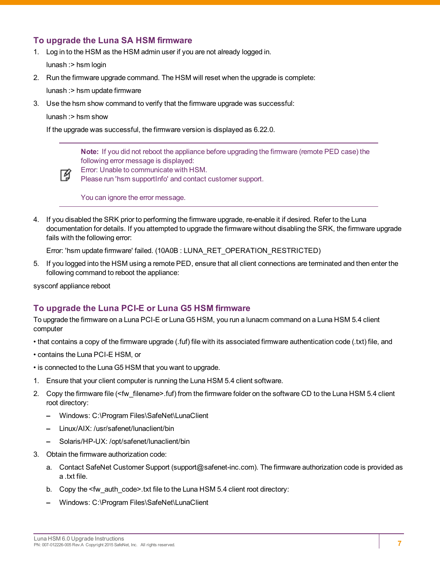#### **To upgrade the Luna SA HSM firmware**

- 1. Log in to the HSM as the HSM admin user if you are not already logged in. lunash :> hsm login
- 2. Run the firmware upgrade command. The HSM will reset when the upgrade is complete: lunash :> hsm update firmware
- 3. Use the hsm show command to verify that the firmware upgrade was successful:
	- lunash :> hsm show

If the upgrade was successful, the firmware version is displayed as 6.22.0.

**Note:** If you did not reboot the appliance before upgrading the firmware (remote PED case) the following error message is displayed:



Error: Unable to communicate with HSM.

Please run 'hsm supportInfo' and contact customer support.

You can ignore the error message.

4. If you disabled the SRK prior to performing the firmware upgrade, re-enable it if desired. Refer to the Luna documentation for details. If you attempted to upgrade the firmware without disabling the SRK, the firmware upgrade fails with the following error:

Error: 'hsm update firmware' failed. (10A0B : LUNA\_RET\_OPERATION\_RESTRICTED)

5. If you logged into the HSM using a remote PED, ensure that all client connections are terminated and then enter the following command to reboot the appliance:

sysconf appliance reboot

#### **To upgrade the Luna PCI-E or Luna G5 HSM firmware**

To upgrade the firmware on a Luna PCI-E or Luna G5 HSM, you run a lunacm command on a Luna HSM 5.4 client computer

- that contains a copy of the firmware upgrade (.fuf) file with its associated firmware authentication code (.txt) file, and
- contains the Luna PCI-E HSM, or
- is connected to the Luna G5 HSM that you want to upgrade.
- 1. Ensure that your client computer is running the Luna HSM 5.4 client software.
- 2. Copy the firmware file (<fw\_filename>.fuf) from the firmware folder on the software CD to the Luna HSM 5.4 client root directory:
	- **–** Windows: C:\Program Files\SafeNet\LunaClient
	- **–** Linux/AIX: /usr/safenet/lunaclient/bin
	- **–** Solaris/HP-UX: /opt/safenet/lunaclient/bin
- 3. Obtain the firmware authorization code:
	- a. Contact SafeNet Customer Support (support@safenet-inc.com). The firmware authorization code is provided as a .txt file.
	- b. Copy the <fw\_auth\_code>.txt file to the Luna HSM 5.4 client root directory:
	- **–** Windows: C:\Program Files\SafeNet\LunaClient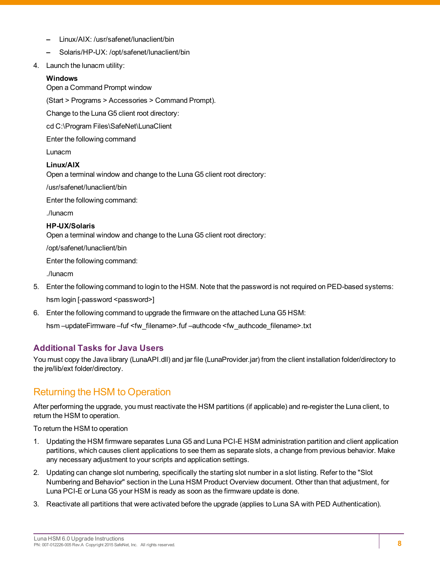- **–** Linux/AIX: /usr/safenet/lunaclient/bin
- **–** Solaris/HP-UX: /opt/safenet/lunaclient/bin
- 4. Launch the lunacm utility:

#### **Windows**

Open a Command Prompt window

(Start > Programs > Accessories > Command Prompt).

Change to the Luna G5 client root directory:

cd C:\Program Files\SafeNet\LunaClient

Enter the following command

Lunacm

#### **Linux/AIX**

Open a terminal window and change to the Luna G5 client root directory:

/usr/safenet/lunaclient/bin

Enter the following command:

./lunacm

#### **HP-UX/Solaris**

Open a terminal window and change to the Luna G5 client root directory:

/opt/safenet/lunaclient/bin

Enter the following command:

./lunacm

- 5. Enter the following command to login to the HSM. Note that the password is not required on PED-based systems: hsm login [-password <password>]
- 6. Enter the following command to upgrade the firmware on the attached Luna G5 HSM:

hsm -updateFirmware -fuf <fw\_filename>.fuf -authcode <fw\_authcode\_filename>.txt

#### **Additional Tasks for Java Users**

You must copy the Java library (LunaAPI.dll) and jar file (LunaProvider.jar) from the client installation folder/directory to the jre/lib/ext folder/directory.

### <span id="page-7-0"></span>Returning the HSM to Operation

After performing the upgrade, you must reactivate the HSM partitions (if applicable) and re-register the Luna client, to return the HSM to operation.

To return the HSM to operation

- 1. Updating the HSM firmware separates Luna G5 and Luna PCI-E HSM administration partition and client application partitions, which causes client applications to see them as separate slots, a change from previous behavior. Make any necessary adjustment to your scripts and application settings.
- 2. Updating can change slot numbering, specifically the starting slot number in a slot listing. Refer to the "Slot Numbering and Behavior" section in the Luna HSM Product Overview document. Other than that adjustment, for Luna PCI-E or Luna G5 your HSM is ready as soon as the firmware update is done.
- 3. Reactivate all partitions that were activated before the upgrade (applies to Luna SA with PED Authentication).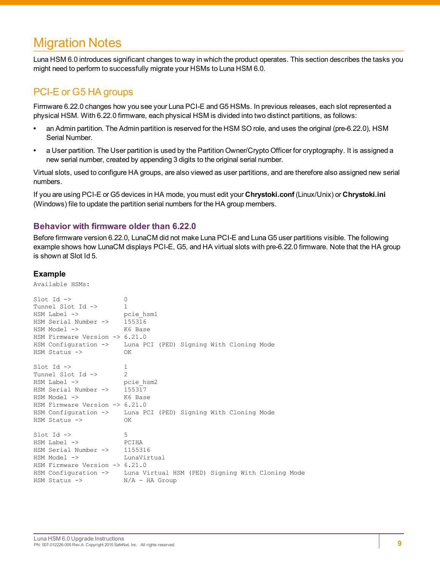## <span id="page-8-0"></span>Migration Notes

Luna HSM 6.0 introduces significant changes to way in which the product operates. This section describes the tasks you might need to perform to successfully migrate your HSMs to Luna HSM 6.0.

### <span id="page-8-1"></span>PCI-E or G5 HA groups

Firmware 6.22.0 changes how you see your Luna PCI-E and G5 HSMs. In previous releases, each slot represented a physical HSM. With 6.22.0 firmware, each physical HSM is divided into two distinct partitions, as follows:

- **•** an Admin partition. The Admin partition is reserved for the HSM SO role, and uses the original (pre-6.22.0), HSM Serial Number.
- **•** a User partition. The User partition is used by the Partition Owner/Crypto Officer for cryptography. It is assigned a new serial number, created by appending 3 digits to the original serial number.

Virtual slots, used to configure HA groups, are also viewed as user partitions, and are therefore also assigned new serial numbers.

If you are using PCI-E or G5 devices in HA mode, you must edit your **Chrystoki.conf** (Linux/Unix) or **Chrystoki.ini** (Windows) file to update the partition serial numbers for the HA group members.

#### **Behavior with firmware older than 6.22.0**

Before firmware version 6.22.0, LunaCM did not make Luna PCI-E and Luna G5 user partitions visible. The following example shows how LunaCM displays PCI-E, G5, and HA virtual slots with pre-6.22.0 firmware. Note that the HA group is shown at Slot Id 5.

**Example** Available HSMs:  $\text{slot}$   $\text{Id}$   $\rightarrow$  0 Tunnel Slot Id -> 1 HSM Label -> pcie\_hsm1<br>HSM Serial Number -> 155316 HSM Serial Number -> 155316<br>HSM Model -> K6 Base HSM Model -> HSM Firmware Version -> 6.21.0 HSM Configuration -> Luna PCI (PED) Signing With Cloning Mode HSM Status -> OK  $Slot$  Id  $\rightarrow$  1 Tunnel Slot Id -> 2 HSM Label -> pcie\_hsm2<br>HSM Serial Number -> 155317 HSM Serial Number -> 155317<br>HSM Model -> K6 Base HSM Model -> HSM Firmware Version -> 6.21.0 HSM Configuration -> Luna PCI (PED) Signing With Cloning Mode HSM Status -> OK  $\text{slot}$  Id ->  $5$ HSM Label -> PCIHA<br>HSM Serial Number -> 1155316 HSM Serial Number  $\rightarrow$ HSM Model -> LunaVirtual HSM Firmware Version -> 6.21.0 HSM Configuration -> Luna Virtual HSM (PED) Signing With Cloning Mode HSM Status -> N/A - HA Group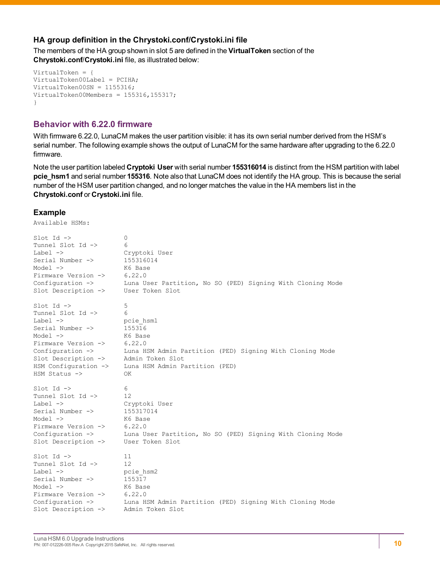#### **HA group definition in the Chrystoki.conf/Crystoki.ini file**

The members of the HA group shown in slot 5 are defined in the **VirtualToken** section of the **Chrystoki.conf**/**Crystoki.ini** file, as illustrated below:

```
VirtualToken = {
VirtualToken00Label = PCIHA;
VirtualToken00SN = 1155316;
VirtualToken00Members = 155316, 155317;}
```
#### **Behavior with 6.22.0 firmware**

With firmware 6.22.0, LunaCM makes the user partition visible: it has its own serial number derived from the HSM's serial number. The following example shows the output of LunaCM for the same hardware after upgrading to the 6.22.0 firmware.

Note the user partition labeled **Cryptoki User** with serial number **155316014** is distinct from the HSM partition with label **pcie\_hsm1** and serial number **155316**. Note also that LunaCM does not identify the HA group. This is because the serial number of the HSM user partition changed, and no longer matches the value in the HA members list in the **Chrystoki.conf** or **Crystoki.ini** file.

#### **Example**

Available HSMs:

| $Slot$ Id $\rightarrow$        | 0                                                          |
|--------------------------------|------------------------------------------------------------|
| Tunnel Slot Id ->              | 6                                                          |
| Label $\rightarrow$            | Cryptoki User                                              |
| Serial Number ->               | 155316014                                                  |
| $Model$ $\rightarrow$          | K6 Base                                                    |
| Firmware Version ->            | 6.22.0                                                     |
| Configuration $\rightarrow$    | Luna User Partition, No SO (PED) Signing With Cloning Mode |
| Slot Description ->            | User Token Slot                                            |
| $Slot$ Id $\rightarrow$        | 5                                                          |
| Tunnel Slot Id ->              | 6                                                          |
| $Label \rightarrow$            | pcie hsm1                                                  |
| Serial Number ->               | 155316                                                     |
| Model $\rightarrow$            | K6 Base                                                    |
| Firmware Version ->            | 6.22.0                                                     |
| Configuration $\rightarrow$    | Luna HSM Admin Partition (PED) Signing With Cloning Mode   |
| Slot Description ->            | Admin Token Slot                                           |
| HSM Configuration ->           | Luna HSM Admin Partition (PED)                             |
| $HSM$ Status $\rightarrow$     | OK.                                                        |
| $Slot$ Id $\rightarrow$        | 6                                                          |
| Tunnel Slot Id ->              | 12                                                         |
| Label $\rightarrow$            | Cryptoki User                                              |
| Serial Number ->               | 155317014                                                  |
| Model $\rightarrow$            | K6 Base                                                    |
| Firmware Version ->            | 6.22.0                                                     |
| Configuration ->               | Luna User Partition, No SO (PED) Signing With Cloning Mode |
| Slot Description ->            | User Token Slot                                            |
| $Slot$ Id $\rightarrow$        | 11                                                         |
| Tunnel Slot Id ->              | $12 \,$                                                    |
| Label $\rightarrow$            | pcie hsm2                                                  |
| Serial Number ->               | 155317                                                     |
| Model $\rightarrow$            | K6 Base                                                    |
| Firmware Version ->            | 6.22.0                                                     |
| Configuration $\rightarrow$    | Luna HSM Admin Partition (PED) Signing With Cloning Mode   |
| Slot Description $\rightarrow$ | Admin Token Slot                                           |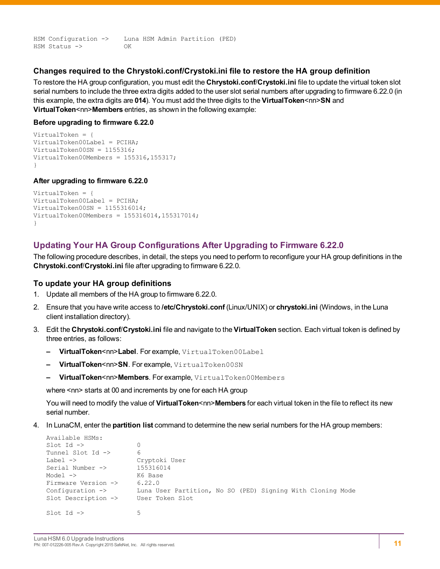HSM Configuration -> Luna HSM Admin Partition (PED) HSM Status -> OK

#### **Changes required to the Chrystoki.conf/Crystoki.ini file to restore the HA group definition**

To restore the HA group configuration, you must edit the **Chrystoki.conf**/**Crystoki.ini** file to update the virtual token slot serial numbers to include the three extra digits added to the user slot serial numbers after upgrading to firmware 6.22.0 (in this example, the extra digits are **014**). You must add the three digits to the **VirtualToken**<nn>**SN** and **VirtualToken<nn>Members** entries, as shown in the following example:

#### **Before upgrading to firmware 6.22.0**

```
VirtualToken = {
VirtualToken00Label = PCIHA;
VirtualToken00SN = 1155316;
VirtualToken00Members = 155316,155317;
}
```
#### **After upgrading to firmware 6.22.0**

```
VirtualToken = {
VirtualToken00Label = PCIHA;
VirtualToken00SN = 1155316014;
VirtualToken00Members = 155316014,155317014;
}
```
#### **Updating Your HA Group Configurations After Upgrading to Firmware 6.22.0**

The following procedure describes, in detail, the steps you need to perform to reconfigure your HA group definitions in the **Chrystoki.conf**/**Crystoki.ini** file after upgrading to firmware 6.22.0.

#### **To update your HA group definitions**

- 1. Update all members of the HA group to firmware 6.22.0.
- 2. Ensure that you have write access to **/etc/Chrystoki.conf** (Linux/UNIX) or **chrystoki.ini** (Windows, in the Luna client installation directory).
- 3. Edit the **Chrystoki.conf**/**Crystoki.ini** file and navigate to the **VirtualToken** section. Each virtual token is defined by three entries, as follows:
	- **– VirtualToken**<nn>**Label**. For example, VirtualToken00Label
	- **– VirtualToken**<nn>**SN**. For example, VirtualToken00SN
	- **– VirtualToken**<nn>**Members**. For example, VirtualToken00Members

where <nn> starts at 00 and increments by one for each HA group

You will need to modify the value of **VirtualToken**<nn>**Members** for each virtual token in the file to reflect its new serial number.

4. In LunaCM, enter the **partition list** command to determine the new serial numbers for the HA group members:

```
Available HSMs:
\text{Slot Id} \rightarrow 0
Tunnel Slot Id -> 6
Label -> Cryptoki User
Serial Number -> 155316014
Model -> K6 Base
Firmware Version -> 6.22.0
Configuration -> Luna User Partition, No SO (PED) Signing With Cloning Mode
Slot Description -> User Token Slot
\text{slot} Id \rightarrow 5
```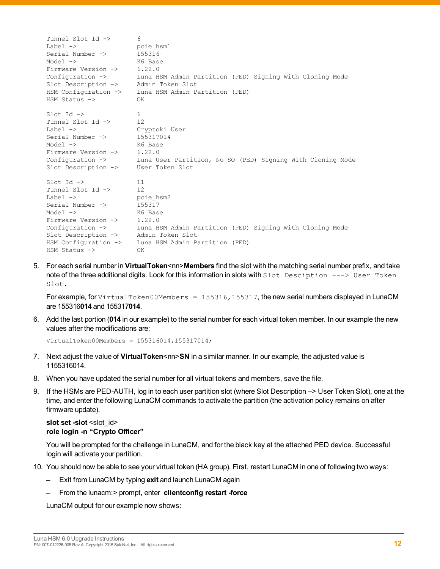```
Tunnel Slot Id -> 6
Label -> pcie hsm1
Serial Number \rightarrow 155316
Model -> K6 Base<br>Firmware Version -> 6.22.0
Firmware Version ->
Configuration -> Luna HSM Admin Partition (PED) Signing With Cloning Mode
Slot Description -> Admin Token Slot
HSM Configuration -> Luna HSM Admin Partition (PED)
HSM Status -> OK
Slot Id \rightarrow 6<br>Tunnel Slot Id \rightarrow 12
Tunnel Slot Id ->
Label -> Cryptoki User
Serial Number -> 155317014
Model -> K6 Base<br>Firmware Version -> 6.22.0
Firmware Version ->
Configuration -> Luna User Partition, No SO (PED) Signing With Cloning Mode
Slot Description -> User Token Slot
\text{slot} Id \rightarrow 11
Tunnel Slot Id -> 12
Label -> pcie hsm2
Serial Number \rightarrow 155317
Model -> K6 Base
Firmware Version ->
Firmware Version -> 6.22.0<br>
Configuration -> Luna HSM Admin Partition (PED) Signing With Cloning Mode<br>
Slot Description -> Admin Token Slot
Slot Description ->
HSM Configuration -> Luna HSM Admin Partition (PED)
HSM Status -> OK
```
5. For each serial number in **VirtualToken**<nn>**Members** find the slot with the matching serial number prefix, and take note of the three additional digits. Look for this information in slots with Slot Desciption ---> User Token Slot.

For example, for VirtualToken00Members =  $155316$ ,  $155317$ , the new serial numbers displayed in LunaCM are 155316**014** and 155317**014**.

6. Add the last portion (**014** in our example) to the serial number for each virtual token member. In our example the new values after the modifications are:

```
VirtualToken00Members = 155316014,155317014;
```
- 7. Next adjust the value of **VirtualToken**<nn>**SN** in a similar manner. In our example, the adjusted value is 1155316014.
- 8. When you have updated the serial number for all virtual tokens and members, save the file.
- 9. If the HSMs are PED-AUTH, log in to each user partition slot (where Slot Description --> User Token Slot), one at the time, and enter the following LunaCM commands to activate the partition (the activation policy remains on after firmware update).

#### **slot** set -slot <slot\_id> **role login -n "Crypto Officer"**

You will be prompted for the challenge in LunaCM, and for the black key at the attached PED device. Successful login will activate your partition.

- 10. You should now be able to see your virtual token (HA group). First, restart LunaCM in one of following two ways:
	- **–** Exit from LunaCM by typing **exit** and launch LunaCM again
	- **–** From the lunacm:> prompt, enter **clientconfig restart -force**

LunaCM output for our example now shows: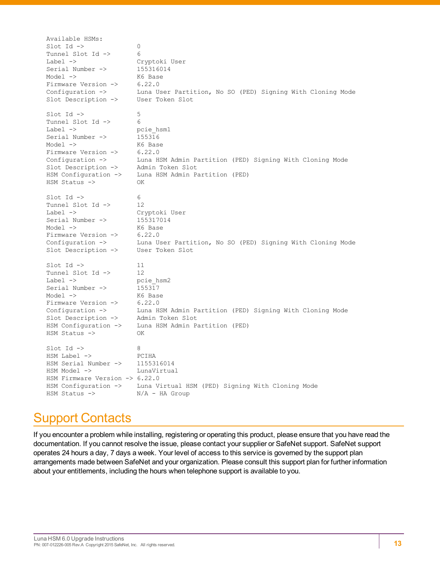Available HSMs:  $\text{slot}$  Id  $\rightarrow$  0 Tunnel Slot Id -> 6 Label -> Cryptoki User Serial Number -> 155316014 Model -> K6 Base Firmware Version -> 6.22.0 Configuration -> Luna User Partition, No SO (PED) Signing With Cloning Mode Slot Description -> User Token Slot Slot Id  $\rightarrow$ Tunnel Slot Id -> 6 Label -> pcie\_hsm1<br>Serial Number -> 155316 Serial Number -> Model -> K6 Base Firmware Version -> 6.22.0 Configuration -> Luna HSM Admin Partition (PED) Signing With Cloning Mode Slot Description -> Admin Token Slot Slot Description -> Admin Token Slot<br>HSM Configuration -> Luna HSM Admin Partition (PED) HSM Status -> OK  $\text{Slot Id} \rightarrow$  6 Tunnel Slot Id -> 12 Label -> Cryptoki User Serial Number -> 155317014 Model -> K6 Base Firmware Version -> 6.22.0 Configuration -> Luna User Partition, No SO (PED) Signing With Cloning Mode Slot Description -> User Token Slot Slot Id -> 11 Tunnel Slot Id -> 12 Label -> pcie\_hsm2 Serial Number -> 155317 Model -> K6 Base<br>Firmware Version -> 6.22.0 Firmware Version -> 6.22.0 Configuration -> Luna HSM Admin Partition (PED) Signing With Cloning Mode Slot Description -> Admin Token Slot HSM Configuration -> Luna HSM Admin Partition (PED) HSM Status -> OK  $\text{slot}$  Id  $\text{->}$  8 HSM Label -> PCIHA HSM Serial Number -> 1155316014 HSM Model -> LunaVirtual HSM Firmware Version -> 6.22.0 Luna Virtual HSM (PED) Signing With Cloning Mode HSM Status -> N/A - HA Group

## <span id="page-12-0"></span>Support Contacts

If you encounter a problem while installing, registering or operating this product, please ensure that you have read the documentation. If you cannot resolve the issue, please contact your supplier or SafeNet support. SafeNet support operates 24 hours a day, 7 days a week. Your level of access to this service is governed by the support plan arrangements made between SafeNet and your organization. Please consult this support plan for further information about your entitlements, including the hours when telephone support is available to you.